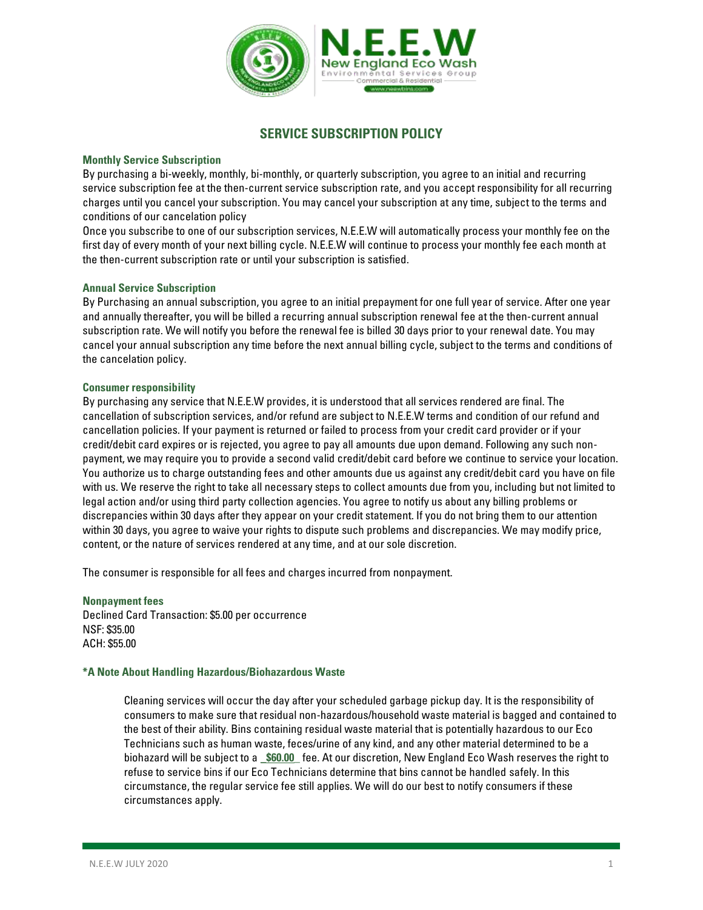

# **SERVICE SUBSCRIPTION POLICY**

### **Monthly Service Subscription**

By purchasing a bi-weekly, monthly, bi-monthly, or quarterly subscription, you agree to an initial and recurring service subscription fee at the then-current service subscription rate, and you accept responsibility for all recurring charges until you cancel your subscription. You may cancel your subscription at any time, subject to the terms and conditions of our cancelation policy

Once you subscribe to one of our subscription services, N.E.E.W will automatically process your monthly fee on the first day of every month of your next billing cycle. N.E.E.W will continue to process your monthly fee each month at the then-current subscription rate or until your subscription is satisfied.

### **Annual Service Subscription**

By Purchasing an annual subscription, you agree to an initial prepayment for one full year of service. After one year and annually thereafter, you will be billed a recurring annual subscription renewal fee at the then-current annual subscription rate. We will notify you before the renewal fee is billed 30 days prior to your renewal date. You may cancel your annual subscription any time before the next annual billing cycle, subject to the terms and conditions of the cancelation policy.

#### **Consumer responsibility**

By purchasing any service that N.E.E.W provides, it is understood that all services rendered are final. The cancellation of subscription services, and/or refund are subject to N.E.E.W terms and condition of our refund and cancellation policies. If your payment is returned or failed to process from your credit card provider or if your credit/debit card expires or is rejected, you agree to pay all amounts due upon demand. Following any such nonpayment, we may require you to provide a second valid credit/debit card before we continue to service your location. You authorize us to charge outstanding fees and other amounts due us against any credit/debit card you have on file with us. We reserve the right to take all necessary steps to collect amounts due from you, including but not limited to legal action and/or using third party collection agencies. You agree to notify us about any billing problems or discrepancies within 30 days after they appear on your credit statement. If you do not bring them to our attention within 30 days, you agree to waive your rights to dispute such problems and discrepancies. We may modify price, content, or the nature of services rendered at any time, and at our sole discretion.

The consumer is responsible for all fees and charges incurred from nonpayment.

**Nonpayment fees** Declined Card Transaction: \$5.00 per occurrence NSF: \$35.00 ACH: \$55.00

### **\*A Note About Handling Hazardous/Biohazardous Waste**

Cleaning services will occur the day after your scheduled garbage pickup day. It is the responsibility of consumers to make sure that residual non-hazardous/household waste material is bagged and contained to the best of their ability. Bins containing residual waste material that is potentially hazardous to our Eco Technicians such as human waste, feces/urine of any kind, and any other material determined to be a biohazard will be subject to a **\_\$60.00\_** fee. At our discretion, New England Eco Wash reserves the right to refuse to service bins if our Eco Technicians determine that bins cannot be handled safely. In this circumstance, the regular service fee still applies. We will do our best to notify consumers if these circumstances apply.